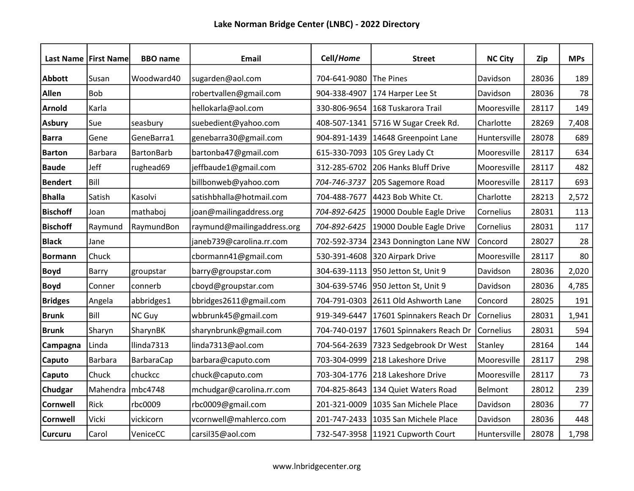|                 | Last Name   First Name | <b>BBO</b> name   | Email                      | Cell/Home    | <b>Street</b>                     | <b>NC City</b> | Zip   | <b>MPs</b> |
|-----------------|------------------------|-------------------|----------------------------|--------------|-----------------------------------|----------------|-------|------------|
| <b>Abbott</b>   | Susan                  | Woodward40        | sugarden@aol.com           | 704-641-9080 | The Pines                         | Davidson       | 28036 | 189        |
| Allen           | <b>Bob</b>             |                   | robertvallen@gmail.com     | 904-338-4907 | 174 Harper Lee St                 | Davidson       | 28036 | 78         |
| <b>Arnold</b>   | Karla                  |                   | hellokarla@aol.com         | 330-806-9654 | 168 Tuskarora Trail               | Mooresville    | 28117 | 149        |
| <b>Asbury</b>   | Sue                    | seasbury          | suebedient@yahoo.com       | 408-507-1341 | 5716 W Sugar Creek Rd.            | Charlotte      | 28269 | 7,408      |
| <b>Barra</b>    | Gene                   | GeneBarra1        | genebarra30@gmail.com      | 904-891-1439 | 14648 Greenpoint Lane             | Huntersville   | 28078 | 689        |
| <b>Barton</b>   | <b>Barbara</b>         | <b>BartonBarb</b> | bartonba47@gmail.com       | 615-330-7093 | 105 Grey Lady Ct                  | Mooresville    | 28117 | 634        |
| <b>Baude</b>    | Jeff                   | rughead69         | jeffbaude1@gmail.com       | 312-285-6702 | 206 Hanks Bluff Drive             | Mooresville    | 28117 | 482        |
| <b>Bendert</b>  | Bill                   |                   | billbonweb@yahoo.com       | 704-746-3737 | 205 Sagemore Road                 | Mooresville    | 28117 | 693        |
| <b>Bhalla</b>   | Satish                 | Kasolvi           | satishbhalla@hotmail.com   | 704-488-7677 | 4423 Bob White Ct.                | Charlotte      | 28213 | 2,572      |
| <b>Bischoff</b> | Joan                   | mathaboj          | joan@mailingaddress.org    | 704-892-6425 | 19000 Double Eagle Drive          | Cornelius      | 28031 | 113        |
| <b>Bischoff</b> | Raymund                | RaymundBon        | raymund@mailingaddress.org | 704-892-6425 | 19000 Double Eagle Drive          | Cornelius      | 28031 | 117        |
| <b>Black</b>    | Jane                   |                   | janeb739@carolina.rr.com   | 702-592-3734 | 2343 Donnington Lane NW           | Concord        | 28027 | 28         |
| <b>Bormann</b>  | Chuck                  |                   | cbormann41@gmail.com       | 530-391-4608 | 320 Airpark Drive                 | Mooresville    | 28117 | 80         |
| <b>Boyd</b>     | Barry                  | groupstar         | barry@groupstar.com        | 304-639-1113 | 950 Jetton St, Unit 9             | Davidson       | 28036 | 2,020      |
| <b>Boyd</b>     | Conner                 | connerb           | cboyd@groupstar.com        | 304-639-5746 | 950 Jetton St, Unit 9             | Davidson       | 28036 | 4,785      |
| <b>Bridges</b>  | Angela                 | abbridges1        | bbridges2611@gmail.com     | 704-791-0303 | 2611 Old Ashworth Lane            | Concord        | 28025 | 191        |
| <b>Brunk</b>    | Bill                   | NC Guy            | wbbrunk45@gmail.com        | 919-349-6447 | 17601 Spinnakers Reach Dr         | Cornelius      | 28031 | 1,941      |
| <b>Brunk</b>    | Sharyn                 | SharynBK          | sharynbrunk@gmail.com      | 704-740-0197 | 17601 Spinnakers Reach Dr         | Cornelius      | 28031 | 594        |
| Campagna        | Linda                  | llinda7313        | linda7313@aol.com          | 704-564-2639 | 7323 Sedgebrook Dr West           | Stanley        | 28164 | 144        |
| Caputo          | <b>Barbara</b>         | <b>BarbaraCap</b> | barbara@caputo.com         | 703-304-0999 | 218 Lakeshore Drive               | Mooresville    | 28117 | 298        |
| Caputo          | Chuck                  | chuckcc           | chuck@caputo.com           | 703-304-1776 | 218 Lakeshore Drive               | Mooresville    | 28117 | 73         |
| Chudgar         | Mahendra               | mbc4748           | mchudgar@carolina.rr.com   | 704-825-8643 | 134 Quiet Waters Road             | Belmont        | 28012 | 239        |
| <b>Cornwell</b> | Rick                   | rbc0009           | rbc0009@gmail.com          | 201-321-0009 | 1035 San Michele Place            | Davidson       | 28036 | 77         |
| <b>Cornwell</b> | Vicki                  | vickicorn         | vcornwell@mahlerco.com     | 201-747-2433 | 1035 San Michele Place            | Davidson       | 28036 | 448        |
| <b>Curcuru</b>  | Carol                  | VeniceCC          | carsil35@aol.com           |              | 732-547-3958 11921 Cupworth Court | Huntersville   | 28078 | 1,798      |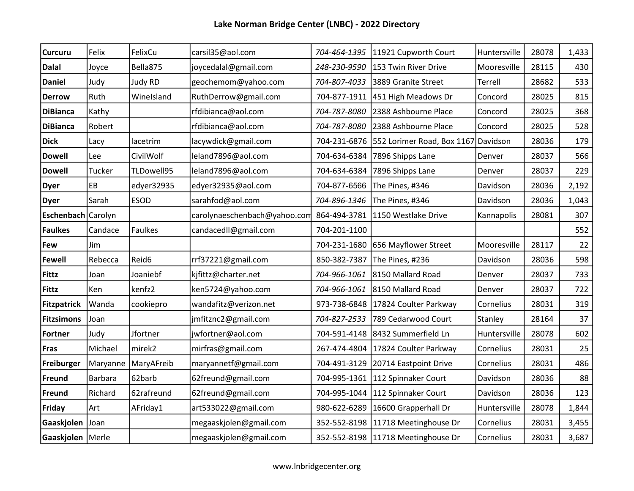| <b>Curcuru</b>     | Felix          | FelixCu        | carsil35@aol.com             | 704-464-1395 | 11921 Cupworth Court                | Huntersville | 28078 | 1,433 |
|--------------------|----------------|----------------|------------------------------|--------------|-------------------------------------|--------------|-------|-------|
| <b>Dalal</b>       | Joyce          | Bella875       | joycedalal@gmail.com         | 248-230-9590 | 153 Twin River Drive                | Mooresville  | 28115 | 430   |
| <b>Daniel</b>      | Judy           | Judy RD        | geochemom@yahoo.com          | 704-807-4033 | 3889 Granite Street                 | Terrell      | 28682 | 533   |
| <b>Derrow</b>      | Ruth           | WineIsland     | RuthDerrow@gmail.com         | 704-877-1911 | 451 High Meadows Dr                 | Concord      | 28025 | 815   |
| <b>DiBianca</b>    | Kathy          |                | rfdibianca@aol.com           | 704-787-8080 | 2388 Ashbourne Place                | Concord      | 28025 | 368   |
| <b>DiBianca</b>    | Robert         |                | rfdibianca@aol.com           | 704-787-8080 | 2388 Ashbourne Place                | Concord      | 28025 | 528   |
| <b>Dick</b>        | Lacy           | lacetrim       | lacywdick@gmail.com          | 704-231-6876 | 552 Lorimer Road, Box 1167 Davidson |              | 28036 | 179   |
| <b>Dowell</b>      | Lee            | CivilWolf      | leland7896@aol.com           | 704-634-6384 | 7896 Shipps Lane                    | Denver       | 28037 | 566   |
| <b>Dowell</b>      | Tucker         | TLDowell95     | leland7896@aol.com           | 704-634-6384 | 7896 Shipps Lane                    | Denver       | 28037 | 229   |
| <b>Dyer</b>        | EB             | edyer32935     | edyer32935@aol.com           | 704-877-6566 | The Pines, #346                     | Davidson     | 28036 | 2,192 |
| <b>Dyer</b>        | Sarah          | <b>ESOD</b>    | sarahfod@aol.com             | 704-896-1346 | The Pines, #346                     | Davidson     | 28036 | 1,043 |
| Eschenbach Carolyn |                |                | carolynaeschenbach@yahoo.com | 864-494-3781 | 1150 Westlake Drive                 | Kannapolis   | 28081 | 307   |
| Faulkes            | Candace        | <b>Faulkes</b> | candacedll@gmail.com         | 704-201-1100 |                                     |              |       | 552   |
| Few                | Jim            |                |                              | 704-231-1680 | 656 Mayflower Street                | Mooresville  | 28117 | 22    |
| <b>Fewell</b>      | Rebecca        | Reid6          | rrf37221@gmail.com           | 850-382-7387 | The Pines, #236                     | Davidson     | 28036 | 598   |
| <b>Fittz</b>       | Joan           | Joaniebf       | kjfittz@charter.net          | 704-966-1061 | 8150 Mallard Road                   | Denver       | 28037 | 733   |
| <b>Fittz</b>       | Ken            | kenfz2         | ken5724@yahoo.com            | 704-966-1061 | 8150 Mallard Road                   | Denver       | 28037 | 722   |
| <b>Fitzpatrick</b> | Wanda          | cookiepro      | wandafitz@verizon.net        | 973-738-6848 | 17824 Coulter Parkway               | Cornelius    | 28031 | 319   |
| Fitzsimons         | Joan           |                | jmfitznc2@gmail.com          | 704-827-2533 | 789 Cedarwood Court                 | Stanley      | 28164 | 37    |
| Fortner            | Judy           | Jfortner       | jwfortner@aol.com            | 704-591-4148 | 8432 Summerfield Ln                 | Huntersville | 28078 | 602   |
| Fras               | Michael        | mirek2         | mirfras@gmail.com            | 267-474-4804 | 17824 Coulter Parkway               | Cornelius    | 28031 | 25    |
| Freiburger         | Maryanne       | MaryAFreib     | maryannetf@gmail.com         | 704-491-3129 | 20714 Eastpoint Drive               | Cornelius    | 28031 | 486   |
| Freund             | <b>Barbara</b> | 62barb         | 62freund@gmail.com           | 704-995-1361 | 112 Spinnaker Court                 | Davidson     | 28036 | 88    |
| Freund             | Richard        | 62rafreund     | 62freund@gmail.com           | 704-995-1044 | 112 Spinnaker Court                 | Davidson     | 28036 | 123   |
| Friday             | Art            | AFriday1       | art533022@gmail.com          | 980-622-6289 | 16600 Grapperhall Dr                | Huntersville | 28078 | 1,844 |
| Gaaskjolen         | Joan           |                | megaaskjolen@gmail.com       | 352-552-8198 | 11718 Meetinghouse Dr               | Cornelius    | 28031 | 3,455 |
| Gaaskjolen Merle   |                |                | megaaskjolen@gmail.com       |              | 352-552-8198 11718 Meetinghouse Dr  | Cornelius    | 28031 | 3,687 |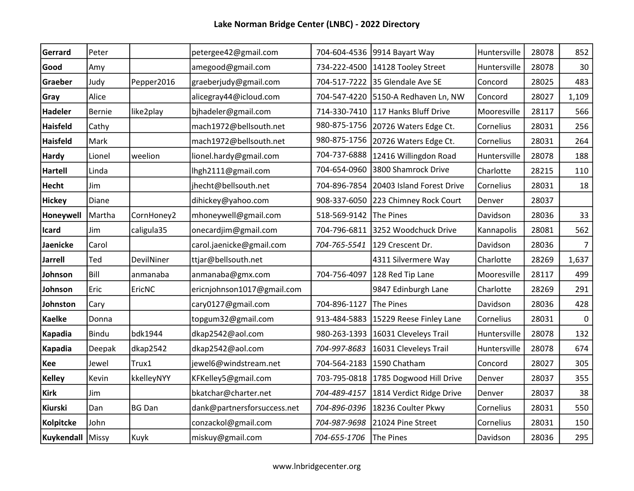| Gerrard            | Peter        |               | petergee42@gmail.com        |                        | 704-604-4536 9914 Bayart Way           | Huntersville | 28078 | 852            |
|--------------------|--------------|---------------|-----------------------------|------------------------|----------------------------------------|--------------|-------|----------------|
| Good               | Amy          |               | amegood@gmail.com           |                        | 734-222-4500   14128 Tooley Street     | Huntersville | 28078 | 30             |
| Graeber            | Judy         | Pepper2016    | graeberjudy@gmail.com       |                        | 704-517-7222 35 Glendale Ave SE        | Concord      | 28025 | 483            |
| Gray               | Alice        |               | alicegray44@icloud.com      |                        | 704-547-4220 5150-A Redhaven Ln, NW    | Concord      | 28027 | 1,109          |
| <b>Hadeler</b>     | Bernie       | like2play     | bjhadeler@gmail.com         |                        | 714-330-7410 117 Hanks Bluff Drive     | Mooresville  | 28117 | 566            |
| <b>Haisfeld</b>    | Cathy        |               | mach1972@bellsouth.net      | 980-875-1756           | 20726 Waters Edge Ct.                  | Cornelius    | 28031 | 256            |
| <b>Haisfeld</b>    | Mark         |               | mach1972@bellsouth.net      | 980-875-1756           | 20726 Waters Edge Ct.                  | Cornelius    | 28031 | 264            |
| <b>Hardy</b>       | Lionel       | weelion       | lionel.hardy@gmail.com      | 704-737-6888           | 12416 Willingdon Road                  | Huntersville | 28078 | 188            |
| <b>Hartell</b>     | Linda        |               | lhgh2111@gmail.com          | 704-654-0960           | 3800 Shamrock Drive                    | Charlotte    | 28215 | 110            |
| <b>Hecht</b>       | Jim          |               | jhecht@bellsouth.net        |                        | 704-896-7854 20403 Island Forest Drive | Cornelius    | 28031 | 18             |
| <b>Hickey</b>      | Diane        |               | dihickey@yahoo.com          |                        | 908-337-6050 223 Chimney Rock Court    | Denver       | 28037 |                |
| Honeywell          | Martha       | CornHoney2    | mhoneywell@gmail.com        | 518-569-9142           | The Pines                              | Davidson     | 28036 | 33             |
| Icard              | Jim          | caligula35    | onecardjim@gmail.com        |                        | 704-796-6811 3252 Woodchuck Drive      | Kannapolis   | 28081 | 562            |
| Jaenicke           | Carol        |               | carol.jaenicke@gmail.com    | 704-765-5541           | 129 Crescent Dr.                       | Davidson     | 28036 | $\overline{7}$ |
| <b>Jarrell</b>     | Ted          | DevilNiner    | ttjar@bellsouth.net         |                        | 4311 Silvermere Way                    | Charlotte    | 28269 | 1,637          |
| Johnson            | Bill         | anmanaba      | anmanaba@gmx.com            | 704-756-4097           | 128 Red Tip Lane                       | Mooresville  | 28117 | 499            |
| Johnson            | Eric         | EricNC        | ericnjohnson1017@gmail.com  |                        | 9847 Edinburgh Lane                    | Charlotte    | 28269 | 291            |
| Johnston           | Cary         |               | cary0127@gmail.com          | 704-896-1127           | The Pines                              | Davidson     | 28036 | 428            |
| <b>Kaelke</b>      | Donna        |               | topgum32@gmail.com          |                        | 913-484-5883   15229 Reese Finley Lane | Cornelius    | 28031 | 0              |
| Kapadia            | <b>Bindu</b> | bdk1944       | dkap2542@aol.com            | 980-263-1393           | 16031 Cleveleys Trail                  | Huntersville | 28078 | 132            |
| Kapadia            | Deepak       | dkap2542      | dkap2542@aol.com            | 704-997-8683           | 16031 Cleveleys Trail                  | Huntersville | 28078 | 674            |
| Kee                | Jewel        | Trux1         | jewel6@windstream.net       |                        | 704-564-2183   1590 Chatham            | Concord      | 28027 | 305            |
| <b>Kelley</b>      | Kevin        | kkelleyNYY    | KFKelley5@gmail.com         |                        | 703-795-0818   1785 Dogwood Hill Drive | Denver       | 28037 | 355            |
| <b>Kirk</b>        | Jim          |               | bkatchar@charter.net        | 704-489-4157           | 1814 Verdict Ridge Drive               | Denver       | 28037 | 38             |
| Kiurski            | Dan          | <b>BG Dan</b> | dank@partnersforsuccess.net | 704-896-0396           | 18236 Coulter Pkwy                     | Cornelius    | 28031 | 550            |
| Kolpitcke          | John         |               | conzackol@gmail.com         | 704-987-9698           | 21024 Pine Street                      | Cornelius    | 28031 | 150            |
| Kuykendall   Missy |              | Kuyk          | miskuy@gmail.com            | 704-655-1706 The Pines |                                        | Davidson     | 28036 | 295            |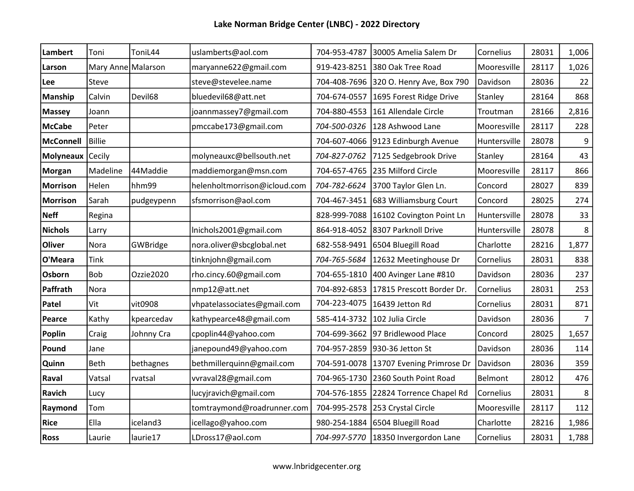| Lambert          | Toni               | ToniL44    | uslamberts@aol.com           | 704-953-4787 | 30005 Amelia Salem Dr                    | Cornelius    | 28031 | 1,006          |
|------------------|--------------------|------------|------------------------------|--------------|------------------------------------------|--------------|-------|----------------|
| Larson           | Mary Anne Malarson |            | maryanne622@gmail.com        |              | 919-423-8251 380 Oak Tree Road           | Mooresville  | 28117 | 1,026          |
| Lee              | Steve              |            | steve@stevelee.name          |              | 704-408-7696 320 O. Henry Ave, Box 790   | Davidson     | 28036 | 22             |
| <b>Manship</b>   | Calvin             | Devil68    | bluedevil68@att.net          | 704-674-0557 | 1695 Forest Ridge Drive                  | Stanley      | 28164 | 868            |
| <b>Massey</b>    | Joann              |            | joannmassey7@gmail.com       |              | 704-880-4553 161 Allendale Circle        | Troutman     | 28166 | 2,816          |
| <b>McCabe</b>    | Peter              |            | pmccabe173@gmail.com         |              | 704-500-0326 128 Ashwood Lane            | Mooresville  | 28117 | 228            |
| <b>McConnell</b> | <b>Billie</b>      |            |                              |              | 704-607-4066 9123 Edinburgh Avenue       | Huntersville | 28078 | 9              |
| Molyneaux        | Cecily             |            | molyneauxc@bellsouth.net     | 704-827-0762 | 7125 Sedgebrook Drive                    | Stanley      | 28164 | 43             |
| <b>Morgan</b>    | Madeline           | 44Maddie   | maddiemorgan@msn.com         | 704-657-4765 | 235 Milford Circle                       | Mooresville  | 28117 | 866            |
| <b>Morrison</b>  | Helen              | hhm99      | helenholtmorrison@icloud.com | 704-782-6624 | 3700 Taylor Glen Ln.                     | Concord      | 28027 | 839            |
| <b>Morrison</b>  | Sarah              | pudgeypenn | sfsmorrison@aol.com          | 704-467-3451 | 683 Williamsburg Court                   | Concord      | 28025 | 274            |
| <b>Neff</b>      | Regina             |            |                              | 828-999-7088 | 16102 Covington Point Ln                 | Huntersville | 28078 | 33             |
| <b>Nichols</b>   | Larry              |            | Inichols2001@gmail.com       | 864-918-4052 | 8307 Parknoll Drive                      | Huntersville | 28078 | 8              |
| <b>Oliver</b>    | Nora               | GWBridge   | nora.oliver@sbcglobal.net    | 682-558-9491 | 6504 Bluegill Road                       | Charlotte    | 28216 | 1,877          |
| O'Meara          | <b>Tink</b>        |            | tinknjohn@gmail.com          | 704-765-5684 | 12632 Meetinghouse Dr                    | Cornelius    | 28031 | 838            |
| Osborn           | Bob                | Ozzie2020  | rho.cincy.60@gmail.com       | 704-655-1810 | 400 Avinger Lane #810                    | Davidson     | 28036 | 237            |
| Paffrath         | Nora               |            | nmp12@att.net                | 704-892-6853 | 17815 Prescott Border Dr.                | Cornelius    | 28031 | 253            |
| Patel            | Vit                | vit0908    | vhpatelassociates@gmail.com  | 704-223-4075 | 16439 Jetton Rd                          | Cornelius    | 28031 | 871            |
| Pearce           | Kathy              | kpearcedav | kathypearce48@gmail.com      | 585-414-3732 | 102 Julia Circle                         | Davidson     | 28036 | $\overline{7}$ |
| Poplin           | Craig              | Johnny Cra | cpoplin44@yahoo.com          | 704-699-3662 | 97 Bridlewood Place                      | Concord      | 28025 | 1,657          |
| Pound            | Jane               |            | janepound49@yahoo.com        | 704-957-2859 | 930-36 Jetton St                         | Davidson     | 28036 | 114            |
| Quinn            | Beth               | bethagnes  | bethmillerquinn@gmail.com    |              | 704-591-0078   13707 Evening Primrose Dr | Davidson     | 28036 | 359            |
| Raval            | Vatsal             | rvatsal    | vvraval28@gmail.com          |              | 704-965-1730 2360 South Point Road       | Belmont      | 28012 | 476            |
| <b>Ravich</b>    | Lucy               |            | lucyjravich@gmail.com        |              | 704-576-1855 22824 Torrence Chapel Rd    | Cornelius    | 28031 | 8              |
| Raymond          | Tom                |            | tomtraymond@roadrunner.com   | 704-995-2578 | 253 Crystal Circle                       | Mooresville  | 28117 | 112            |
| <b>Rice</b>      | Ella               | iceland3   | icellago@yahoo.com           |              | 980-254-1884 6504 Bluegill Road          | Charlotte    | 28216 | 1,986          |
| <b>Ross</b>      | Laurie             | laurie17   | LDross17@aol.com             |              | 704-997-5770 18350 Invergordon Lane      | Cornelius    | 28031 | 1,788          |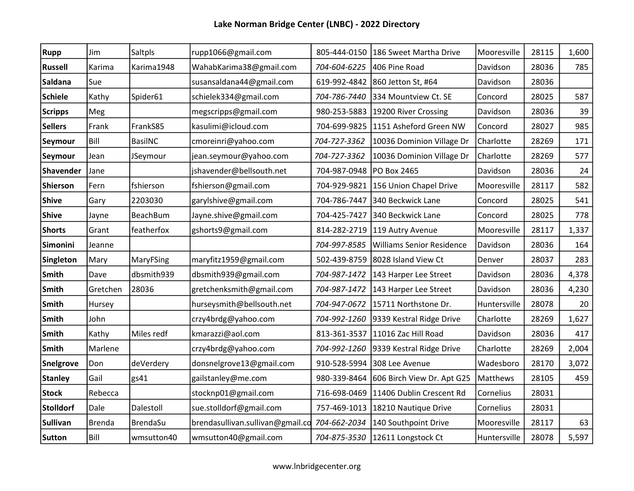| <b>Rupp</b>      | Jim           | Saltpls         | rupp1066@gmail.com               | 805-444-0150 | 186 Sweet Martha Drive           | Mooresville  | 28115 | 1,600 |
|------------------|---------------|-----------------|----------------------------------|--------------|----------------------------------|--------------|-------|-------|
| <b>Russell</b>   | Karima        | Karima1948      | WahabKarima38@gmail.com          | 704-604-6225 | 406 Pine Road                    | Davidson     | 28036 | 785   |
| Saldana          | Sue           |                 | susansaldana44@gmail.com         | 619-992-4842 | 860 Jetton St, #64               | Davidson     | 28036 |       |
| <b>Schiele</b>   | Kathy         | Spider61        | schielek334@gmail.com            | 704-786-7440 | 334 Mountview Ct. SE             | Concord      | 28025 | 587   |
| <b>Scripps</b>   | Meg           |                 | megscripps@gmail.com             | 980-253-5883 | 19200 River Crossing             | Davidson     | 28036 | 39    |
| <b>Sellers</b>   | Frank         | FrankS85        | kasulimi@icloud.com              | 704-699-9825 | 1151 Asheford Green NW           | Concord      | 28027 | 985   |
| Seymour          | Bill          | BasilNC         | cmoreinri@yahoo.com              | 704-727-3362 | 10036 Dominion Village Dr        | Charlotte    | 28269 | 171   |
| Seymour          | Jean          | JSeymour        | jean.seymour@yahoo.com           | 704-727-3362 | 10036 Dominion Village Dr        | Charlotte    | 28269 | 577   |
| <b>Shavender</b> | Jane          |                 | jshavender@bellsouth.net         | 704-987-0948 | <b>PO Box 2465</b>               | Davidson     | 28036 | 24    |
| <b>Shierson</b>  | Fern          | fshierson       | fshierson@gmail.com              | 704-929-9821 | 156 Union Chapel Drive           | Mooresville  | 28117 | 582   |
| <b>Shive</b>     | Gary          | 2203030         | garylshive@gmail.com             | 704-786-7447 | 340 Beckwick Lane                | Concord      | 28025 | 541   |
| <b>Shive</b>     | Jayne         | <b>BeachBum</b> | Jayne.shive@gmail.com            | 704-425-7427 | 340 Beckwick Lane                | Concord      | 28025 | 778   |
| <b>Shorts</b>    | Grant         | featherfox      | gshorts9@gmail.com               | 814-282-2719 | 119 Autry Avenue                 | Mooresville  | 28117 | 1,337 |
| Simonini         | Jeanne        |                 |                                  | 704-997-8585 | <b>Williams Senior Residence</b> | Davidson     | 28036 | 164   |
| Singleton        | Mary          | MaryFSing       | maryfitz1959@gmail.com           | 502-439-8759 | 8028 Island View Ct              | Denver       | 28037 | 283   |
| Smith            | Dave          | dbsmith939      | dbsmith939@gmail.com             | 704-987-1472 | 143 Harper Lee Street            | Davidson     | 28036 | 4,378 |
| Smith            | Gretchen      | 28036           | gretchenksmith@gmail.com         | 704-987-1472 | 143 Harper Lee Street            | Davidson     | 28036 | 4,230 |
| Smith            | Hursey        |                 | hurseysmith@bellsouth.net        | 704-947-0672 | 15711 Northstone Dr.             | Huntersville | 28078 | 20    |
| Smith            | John          |                 | crzy4brdg@yahoo.com              | 704-992-1260 | 9339 Kestral Ridge Drive         | Charlotte    | 28269 | 1,627 |
| Smith            | Kathy         | Miles redf      | kmarazzi@aol.com                 | 813-361-3537 | 11016 Zac Hill Road              | Davidson     | 28036 | 417   |
| Smith            | Marlene       |                 | crzy4brdg@yahoo.com              | 704-992-1260 | 9339 Kestral Ridge Drive         | Charlotte    | 28269 | 2,004 |
| Snelgrove        | Don           | deVerdery       | donsnelgrove13@gmail.com         | 910-528-5994 | 308 Lee Avenue                   | Wadesboro    | 28170 | 3,072 |
| <b>Stanley</b>   | Gail          | gs41            | gailstanley@me.com               | 980-339-8464 | 606 Birch View Dr. Apt G25       | Matthews     | 28105 | 459   |
| <b>Stock</b>     | Rebecca       |                 | stocknp01@gmail.com              | 716-698-0469 | 11406 Dublin Crescent Rd         | Cornelius    | 28031 |       |
| <b>Stolldorf</b> | Dale          | Dalestoll       | sue.stolldorf@gmail.com          | 757-469-1013 | 18210 Nautique Drive             | Cornelius    | 28031 |       |
| <b>Sullivan</b>  | <b>Brenda</b> | <b>BrendaSu</b> | brendasullivan.sullivan@gmail.co | 704-662-2034 | 140 Southpoint Drive             | Mooresville  | 28117 | 63    |
| <b>Sutton</b>    | Bill          | wmsutton40      | wmsutton40@gmail.com             |              | 704-875-3530 12611 Longstock Ct  | Huntersville | 28078 | 5,597 |